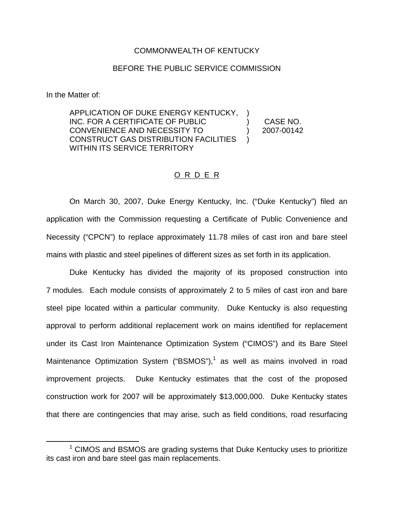## COMMONWEALTH OF KENTUCKY

## BEFORE THE PUBLIC SERVICE COMMISSION

In the Matter of:

APPLICATION OF DUKE ENERGY KENTUCKY, INC. FOR A CERTIFICATE OF PUBLIC CONVENIENCE AND NECESSITY TO CONSTRUCT GAS DISTRIBUTION FACILITIES WITHIN ITS SERVICE TERRITORY ) )

) CASE NO. ) 2007-00142

## O R D E R

On March 30, 2007, Duke Energy Kentucky, Inc. ("Duke Kentucky") filed an application with the Commission requesting a Certificate of Public Convenience and Necessity ("CPCN") to replace approximately 11.78 miles of cast iron and bare steel mains with plastic and steel pipelines of different sizes as set forth in its application.

Duke Kentucky has divided the majority of its proposed construction into 7 modules. Each module consists of approximately 2 to 5 miles of cast iron and bare steel pipe located within a particular community. Duke Kentucky is also requesting approval to perform additional replacement work on mains identified for replacement under its Cast Iron Maintenance Optimization System ("CIMOS") and its Bare Steel Maintenance Optimization System ("BSMOS"), $<sup>1</sup>$  as well as mains involved in road</sup> improvement projects. Duke Kentucky estimates that the cost of the proposed construction work for 2007 will be approximately \$13,000,000. Duke Kentucky states that there are contingencies that may arise, such as field conditions, road resurfacing

 $1$  CIMOS and BSMOS are grading systems that Duke Kentucky uses to prioritize its cast iron and bare steel gas main replacements.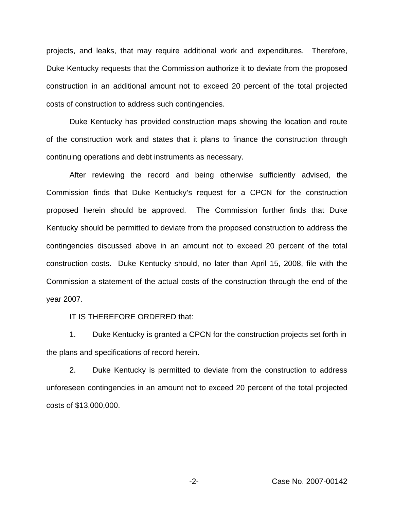projects, and leaks, that may require additional work and expenditures. Therefore, Duke Kentucky requests that the Commission authorize it to deviate from the proposed construction in an additional amount not to exceed 20 percent of the total projected costs of construction to address such contingencies.

Duke Kentucky has provided construction maps showing the location and route of the construction work and states that it plans to finance the construction through continuing operations and debt instruments as necessary.

After reviewing the record and being otherwise sufficiently advised, the Commission finds that Duke Kentucky's request for a CPCN for the construction proposed herein should be approved. The Commission further finds that Duke Kentucky should be permitted to deviate from the proposed construction to address the contingencies discussed above in an amount not to exceed 20 percent of the total construction costs. Duke Kentucky should, no later than April 15, 2008, file with the Commission a statement of the actual costs of the construction through the end of the year 2007.

## IT IS THEREFORE ORDERED that:

1. Duke Kentucky is granted a CPCN for the construction projects set forth in the plans and specifications of record herein.

2. Duke Kentucky is permitted to deviate from the construction to address unforeseen contingencies in an amount not to exceed 20 percent of the total projected costs of \$13,000,000.